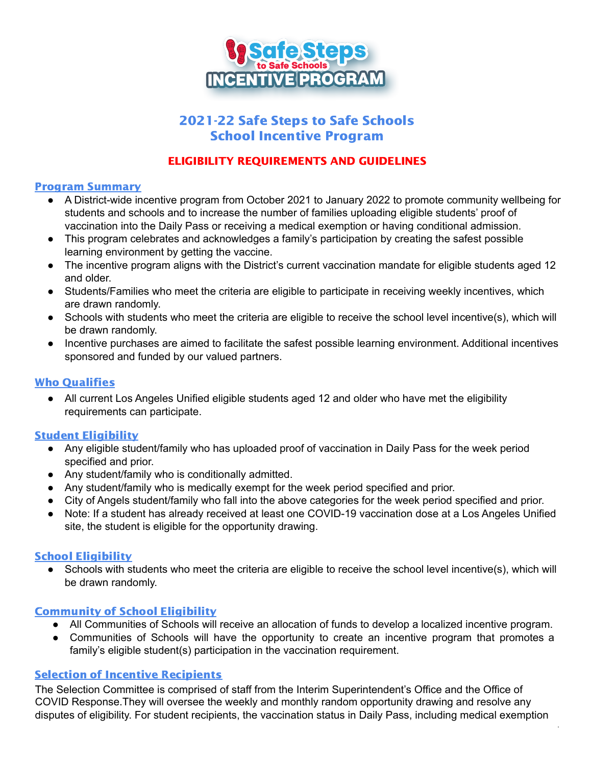

# 2021-22 Safe Steps to Safe Schools School Incentive Program

## ELIGIBILITY REQUIREMENTS AND GUIDELINES

#### Program Summary

- A District-wide incentive program from October 2021 to January 2022 to promote community wellbeing for students and schools and to increase the number of families uploading eligible students' proof of vaccination into the Daily Pass or receiving a medical exemption or having conditional admission.
- This program celebrates and acknowledges a family's participation by creating the safest possible learning environment by getting the vaccine.
- The incentive program aligns with the District's current vaccination mandate for eligible students aged 12 and older.
- Students/Families who meet the criteria are eligible to participate in receiving weekly incentives, which are drawn randomly.
- Schools with students who meet the criteria are eligible to receive the school level incentive(s), which will be drawn randomly.
- Incentive purchases are aimed to facilitate the safest possible learning environment. Additional incentives sponsored and funded by our valued partners.

### Who Qualifies

● All current Los Angeles Unified eligible students aged 12 and older who have met the eligibility requirements can participate.

### Student Eligibility

- Any eligible student/family who has uploaded proof of vaccination in Daily Pass for the week period specified and prior.
- Any student/family who is conditionally admitted.
- Any student/family who is medically exempt for the week period specified and prior.
- City of Angels student/family who fall into the above categories for the week period specified and prior.
- Note: If a student has already received at least one COVID-19 vaccination dose at a Los Angeles Unified site, the student is eligible for the opportunity drawing.

### School Eligibility

• Schools with students who meet the criteria are eligible to receive the school level incentive(s), which will be drawn randomly.

### Community of School Eligibility

- All Communities of Schools will receive an allocation of funds to develop a localized incentive program.
- Communities of Schools will have the opportunity to create an incentive program that promotes a family's eligible student(s) participation in the vaccination requirement.

## **Selection of Incentive Recipients**

The Selection Committee is comprised of staff from the Interim Superintendent's Office and the Office of COVID Response.They will oversee the weekly and monthly random opportunity drawing and resolve any disputes of eligibility. For student recipients, the vaccination status in Daily Pass, including medical exemption

1